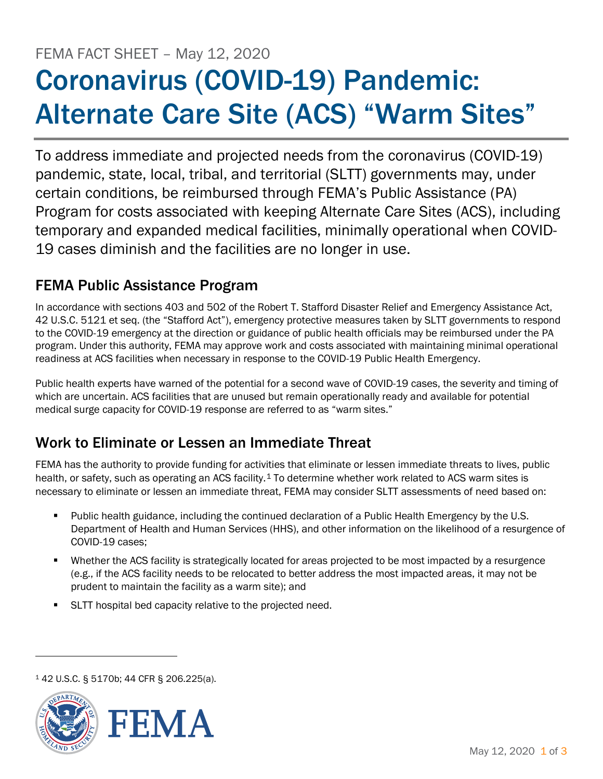# FEMA FACT SHEET – May 12, 2020 Coronavirus (COVID-19) Pandemic: Alternate Care Site (ACS) "Warm Sites"

To address immediate and projected needs from the coronavirus (COVID-19) pandemic, state, local, tribal, and territorial (SLTT) governments may, under certain conditions, be reimbursed through FEMA's Public Assistance (PA) Program for costs associated with keeping Alternate Care Sites (ACS), including temporary and expanded medical facilities, minimally operational when COVID-19 cases diminish and the facilities are no longer in use.

## FEMA Public Assistance Program

In accordance with sections 403 and 502 of the Robert T. Stafford Disaster Relief and Emergency Assistance Act, 42 U.S.C. 5121 et seq. (the "Stafford Act"), emergency protective measures taken by SLTT governments to respond to the COVID-19 emergency at the direction or guidance of public health officials may be reimbursed under the PA program. Under this authority, FEMA may approve work and costs associated with maintaining minimal operational readiness at ACS facilities when necessary in response to the COVID-19 Public Health Emergency.

Public health experts have warned of the potential for a second wave of COVID-19 cases, the severity and timing of which are uncertain. ACS facilities that are unused but remain operationally ready and available for potential medical surge capacity for COVID-19 response are referred to as "warm sites."

## Work to Eliminate or Lessen an Immediate Threat

FEMA has the authority to provide funding for activities that eliminate or lessen immediate threats to lives, public health, or safety, such as operating an ACS facility.<sup>[1](#page-0-0)</sup> To determine whether work related to ACS warm sites is necessary to eliminate or lessen an immediate threat, FEMA may consider SLTT assessments of need based on:

- Public health guidance, including the continued declaration of a Public Health Emergency by the U.S. Department of Health and Human Services (HHS), and other information on the likelihood of a resurgence of COVID-19 cases;
- Whether the ACS facility is strategically located for areas projected to be most impacted by a resurgence (e.g., if the ACS facility needs to be relocated to better address the most impacted areas, it may not be prudent to maintain the facility as a warm site); and
- SLTT hospital bed capacity relative to the projected need.

<sup>1</sup> 42 U.S.C. § 5170b; 44 CFR § 206.225(a).

<span id="page-0-0"></span>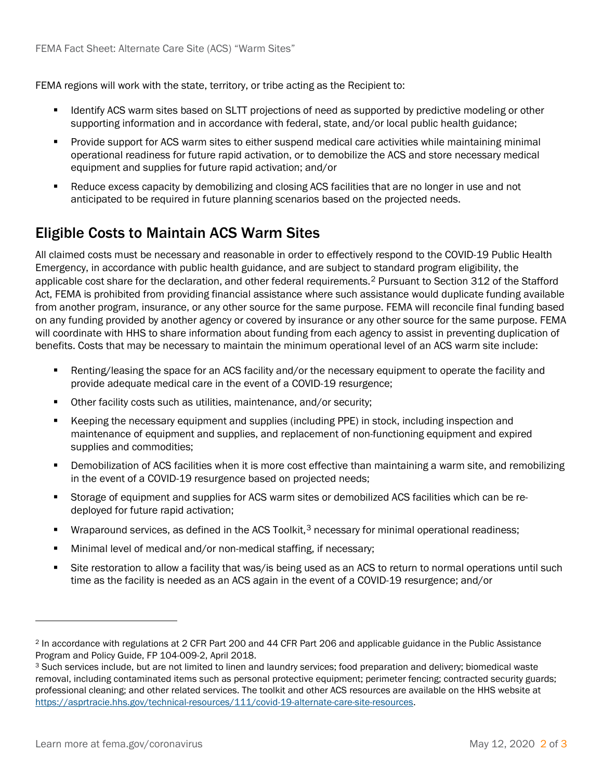FEMA regions will work with the state, territory, or tribe acting as the Recipient to:

- Identify ACS warm sites based on SLTT projections of need as supported by predictive modeling or other supporting information and in accordance with federal, state, and/or local public health guidance;
- Provide support for ACS warm sites to either suspend medical care activities while maintaining minimal operational readiness for future rapid activation, or to demobilize the ACS and store necessary medical equipment and supplies for future rapid activation; and/or
- Reduce excess capacity by demobilizing and closing ACS facilities that are no longer in use and not anticipated to be required in future planning scenarios based on the projected needs.

## Eligible Costs to Maintain ACS Warm Sites

All claimed costs must be necessary and reasonable in order to effectively respond to the COVID-19 Public Health Emergency, in accordance with public health guidance, and are subject to standard program eligibility, the applicable cost share for the declaration, and other federal requirements.[2](#page-1-0) Pursuant to Section 312 of the Stafford Act, FEMA is prohibited from providing financial assistance where such assistance would duplicate funding available from another program, insurance, or any other source for the same purpose. FEMA will reconcile final funding based on any funding provided by another agency or covered by insurance or any other source for the same purpose. FEMA will coordinate with HHS to share information about funding from each agency to assist in preventing duplication of benefits. Costs that may be necessary to maintain the minimum operational level of an ACS warm site include:

- Renting/leasing the space for an ACS facility and/or the necessary equipment to operate the facility and provide adequate medical care in the event of a COVID-19 resurgence;
- Other facility costs such as utilities, maintenance, and/or security;
- Keeping the necessary equipment and supplies (including PPE) in stock, including inspection and maintenance of equipment and supplies, and replacement of non-functioning equipment and expired supplies and commodities;
- Demobilization of ACS facilities when it is more cost effective than maintaining a warm site, and remobilizing in the event of a COVID-19 resurgence based on projected needs;
- Storage of equipment and supplies for ACS warm sites or demobilized ACS facilities which can be redeployed for future rapid activation;
- Wraparound services, as defined in the ACS Toolkit, $3$  necessary for minimal operational readiness;
- Minimal level of medical and/or non-medical staffing, if necessary;
- Site restoration to allow a facility that was/is being used as an ACS to return to normal operations until such time as the facility is needed as an ACS again in the event of a COVID-19 resurgence; and/or

<span id="page-1-0"></span><sup>2</sup> In accordance with regulations at 2 CFR Part 200 and 44 CFR Part 206 and applicable guidance in the Public Assistance Program and Policy Guide, FP 104-009-2, April 2018.

<span id="page-1-1"></span><sup>3</sup> Such services include, but are not limited to linen and laundry services; food preparation and delivery; biomedical waste removal, including contaminated items such as personal protective equipment; perimeter fencing; contracted security guards; professional cleaning; and other related services. The toolkit and other ACS resources are available on the HHS website at [https://asprtracie.hhs.gov/technical-resources/111/covid-19-alternate-care-site-resources.](https://asprtracie.hhs.gov/technical-resources/111/covid-19-alternate-care-site-resources)